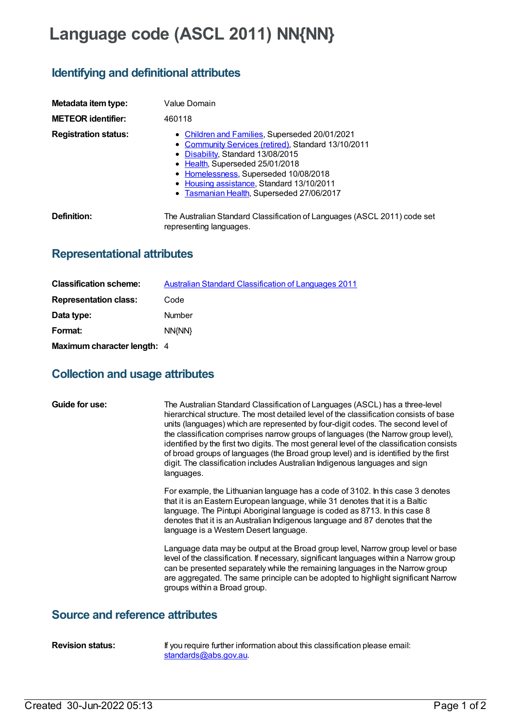# **Language code (ASCL 2011) NN{NN}**

## **Identifying and definitional attributes**

| Metadata item type:<br><b>METEOR identifier:</b> | Value Domain<br>460118                                                                                                                                                                                                                                                                                           |
|--------------------------------------------------|------------------------------------------------------------------------------------------------------------------------------------------------------------------------------------------------------------------------------------------------------------------------------------------------------------------|
| <b>Registration status:</b>                      | • Children and Families, Superseded 20/01/2021<br>• Community Services (retired), Standard 13/10/2011<br>• Disability, Standard 13/08/2015<br>• Health, Superseded 25/01/2018<br>• Homelessness, Superseded 10/08/2018<br>• Housing assistance, Standard 13/10/2011<br>• Tasmanian Health, Superseded 27/06/2017 |
| Definition:                                      | The Australian Standard Classification of Languages (ASCL 2011) code set<br>representing languages.                                                                                                                                                                                                              |

# **Representational attributes**

| <b>Classification scheme:</b> | <b>Australian Standard Classification of Languages 2011</b> |
|-------------------------------|-------------------------------------------------------------|
| <b>Representation class:</b>  | Code                                                        |
| Data type:                    | Number                                                      |
| Format:                       | NN(NN)                                                      |
| Maximum character length: 4   |                                                             |

## **Collection and usage attributes**

| Guide for use: | The Australian Standard Classification of Languages (ASCL) has a three-level<br>hierarchical structure. The most detailed level of the classification consists of base<br>units (languages) which are represented by four-digit codes. The second level of<br>the classification comprises narrow groups of languages (the Narrow group level),<br>identified by the first two digits. The most general level of the classification consists<br>of broad groups of languages (the Broad group level) and is identified by the first<br>digit. The classification includes Australian Indigenous languages and sign<br>languages. |
|----------------|----------------------------------------------------------------------------------------------------------------------------------------------------------------------------------------------------------------------------------------------------------------------------------------------------------------------------------------------------------------------------------------------------------------------------------------------------------------------------------------------------------------------------------------------------------------------------------------------------------------------------------|
|                | For example, the Lithuanian language has a code of 3102. In this case 3 denotes<br>that it is an Eastern European language, while 31 denotes that it is a Baltic<br>language. The Pintupi Aboriginal language is coded as 8713. In this case 8<br>denotes that it is an Australian Indigenous language and 87 denotes that the<br>language is a Western Desert language.                                                                                                                                                                                                                                                         |
|                | Language data may be output at the Broad group level, Narrow group level or base<br>level of the classification. If necessary, significant languages within a Narrow group<br>can be presented separately while the remaining languages in the Narrow group<br>are aggregated. The same principle can be adopted to highlight significant Narrow<br>groups within a Broad group.                                                                                                                                                                                                                                                 |

#### **Source and reference attributes**

**Revision status:** If you require further information about this classification please email: [standards@abs.gov.au](mailto:standards@abs.gov.au).